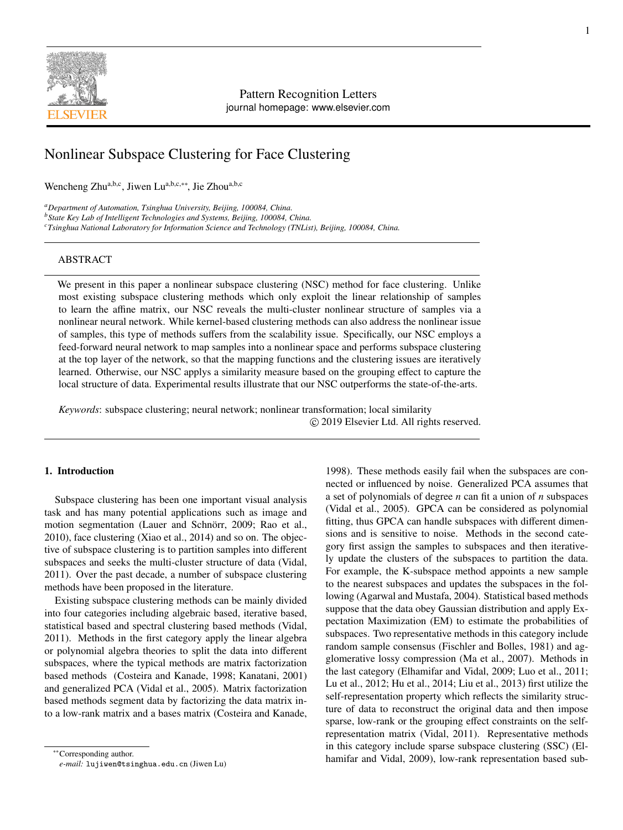

# Pattern Recognition Letters journal homepage: www.elsevier.com

# Nonlinear Subspace Clustering for Face Clustering

Wencheng Zhu<sup>a,b,c</sup>, Jiwen Lu<sup>a,b,c,∗∗</sup>, Jie Zhou<sup>a,b,c</sup>

*<sup>a</sup>Department of Automation, Tsinghua University, Beijing, 100084, China.*

*<sup>b</sup>State Key Lab of Intelligent Technologies and Systems, Beijing, 100084, China.*

*<sup>c</sup>Tsinghua National Laboratory for Information Science and Technology (TNList), Beijing, 100084, China.*

## ABSTRACT

We present in this paper a nonlinear subspace clustering (NSC) method for face clustering. Unlike most existing subspace clustering methods which only exploit the linear relationship of samples to learn the affine matrix, our NSC reveals the multi-cluster nonlinear structure of samples via a nonlinear neural network. While kernel-based clustering methods can also address the nonlinear issue of samples, this type of methods suffers from the scalability issue. Specifically, our NSC employs a feed-forward neural network to map samples into a nonlinear space and performs subspace clustering at the top layer of the network, so that the mapping functions and the clustering issues are iteratively learned. Otherwise, our NSC applys a similarity measure based on the grouping effect to capture the local structure of data. Experimental results illustrate that our NSC outperforms the state-of-the-arts.

*Keywords*: subspace clustering; neural network; nonlinear transformation; local similarity c 2019 Elsevier Ltd. All rights reserved.

# 1. Introduction

Subspace clustering has been one important visual analysis task and has many potential applications such as image and motion segmentation (Lauer and Schnörr, 2009; Rao et al., 2010), face clustering (Xiao et al., 2014) and so on. The objective of subspace clustering is to partition samples into different subspaces and seeks the multi-cluster structure of data (Vidal, 2011). Over the past decade, a number of subspace clustering methods have been proposed in the literature.

Existing subspace clustering methods can be mainly divided into four categories including algebraic based, iterative based, statistical based and spectral clustering based methods (Vidal, 2011). Methods in the first category apply the linear algebra or polynomial algebra theories to split the data into different subspaces, where the typical methods are matrix factorization based methods (Costeira and Kanade, 1998; Kanatani, 2001) and generalized PCA (Vidal et al., 2005). Matrix factorization based methods segment data by factorizing the data matrix into a low-rank matrix and a bases matrix (Costeira and Kanade, 1998). These methods easily fail when the subspaces are connected or influenced by noise. Generalized PCA assumes that a set of polynomials of degree *n* can fit a union of *n* subspaces (Vidal et al., 2005). GPCA can be considered as polynomial fitting, thus GPCA can handle subspaces with different dimensions and is sensitive to noise. Methods in the second category first assign the samples to subspaces and then iteratively update the clusters of the subspaces to partition the data. For example, the K-subspace method appoints a new sample to the nearest subspaces and updates the subspaces in the following (Agarwal and Mustafa, 2004). Statistical based methods suppose that the data obey Gaussian distribution and apply Expectation Maximization (EM) to estimate the probabilities of subspaces. Two representative methods in this category include random sample consensus (Fischler and Bolles, 1981) and agglomerative lossy compression (Ma et al., 2007). Methods in the last category (Elhamifar and Vidal, 2009; Luo et al., 2011; Lu et al., 2012; Hu et al., 2014; Liu et al., 2013) first utilize the self-representation property which reflects the similarity structure of data to reconstruct the original data and then impose sparse, low-rank or the grouping effect constraints on the selfrepresentation matrix (Vidal, 2011). Representative methods in this category include sparse subspace clustering (SSC) (Elhamifar and Vidal, 2009), low-rank representation based sub-

<sup>∗∗</sup>Corresponding author.

*e-mail:* lujiwen@tsinghua.edu.cn (Jiwen Lu)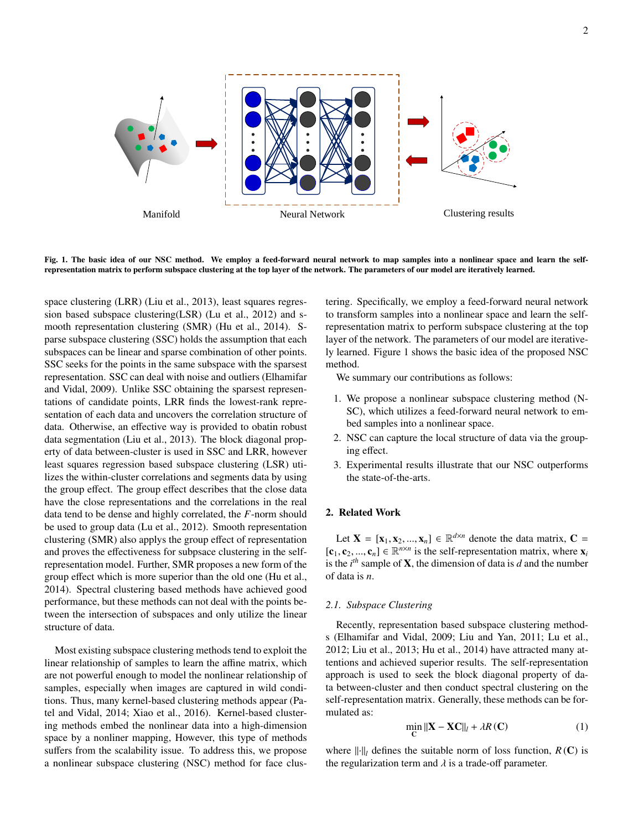

Fig. 1. The basic idea of our NSC method. We employ a feed-forward neural network to map samples into a nonlinear space and learn the selfrepresentation matrix to perform subspace clustering at the top layer of the network. The parameters of our model are iteratively learned.

space clustering (LRR) (Liu et al., 2013), least squares regression based subspace clustering(LSR) (Lu et al., 2012) and smooth representation clustering (SMR) (Hu et al., 2014). Sparse subspace clustering (SSC) holds the assumption that each subspaces can be linear and sparse combination of other points. SSC seeks for the points in the same subspace with the sparsest representation. SSC can deal with noise and outliers (Elhamifar and Vidal, 2009). Unlike SSC obtaining the sparsest representations of candidate points, LRR finds the lowest-rank representation of each data and uncovers the correlation structure of data. Otherwise, an effective way is provided to obatin robust data segmentation (Liu et al., 2013). The block diagonal property of data between-cluster is used in SSC and LRR, however least squares regression based subspace clustering (LSR) utilizes the within-cluster correlations and segments data by using the group effect. The group effect describes that the close data have the close representations and the correlations in the real data tend to be dense and highly correlated, the *F*-norm should be used to group data (Lu et al., 2012). Smooth representation clustering (SMR) also applys the group effect of representation and proves the effectiveness for subpsace clustering in the selfrepresentation model. Further, SMR proposes a new form of the group effect which is more superior than the old one (Hu et al., 2014). Spectral clustering based methods have achieved good performance, but these methods can not deal with the points between the intersection of subspaces and only utilize the linear structure of data.

Most existing subspace clustering methods tend to exploit the linear relationship of samples to learn the affine matrix, which are not powerful enough to model the nonlinear relationship of samples, especially when images are captured in wild conditions. Thus, many kernel-based clustering methods appear (Patel and Vidal, 2014; Xiao et al., 2016). Kernel-based clustering methods embed the nonlinear data into a high-dimension space by a nonliner mapping, However, this type of methods suffers from the scalability issue. To address this, we propose a nonlinear subspace clustering (NSC) method for face clustering. Specifically, we employ a feed-forward neural network to transform samples into a nonlinear space and learn the selfrepresentation matrix to perform subspace clustering at the top layer of the network. The parameters of our model are iteratively learned. Figure 1 shows the basic idea of the proposed NSC method.

We summary our contributions as follows:

- 1. We propose a nonlinear subspace clustering method (N-SC), which utilizes a feed-forward neural network to embed samples into a nonlinear space.
- 2. NSC can capture the local structure of data via the grouping effect.
- 3. Experimental results illustrate that our NSC outperforms the state-of-the-arts.

### 2. Related Work

Let  $X = [x_1, x_2, ..., x_n] \in \mathbb{R}^{d \times n}$  denote the data matrix,  $C =$ <br>*C*<sub>2</sub>  $C = \mathbb{R}^{n \times n}$  is the self-representation matrix, where **x**  $[c_1, c_2, ..., c_n] \in \mathbb{R}^{n \times n}$  is the self-representation matrix, where **x**<sub>*i*</sub> is the *i*<sup>*h*</sup> sample of **X** the dimension of data is *d* and the number is the  $i^{th}$  sample of **X**, the dimension of data is  $d$  and the number of data is *n*.

### *2.1. Subspace Clustering*

Recently, representation based subspace clustering methods (Elhamifar and Vidal, 2009; Liu and Yan, 2011; Lu et al., 2012; Liu et al., 2013; Hu et al., 2014) have attracted many attentions and achieved superior results. The self-representation approach is used to seek the block diagonal property of data between-cluster and then conduct spectral clustering on the self-representation matrix. Generally, these methods can be formulated as:

$$
\min_{\mathbf{C}} \|\mathbf{X} - \mathbf{X}\mathbf{C}\|_{l} + \lambda R(\mathbf{C})\tag{1}
$$

where  $\left\| \cdot \right\|_l$  defines the suitable norm of loss function,  $R$  (C) is the regularization term and  $\lambda$  is a trade-off parameter.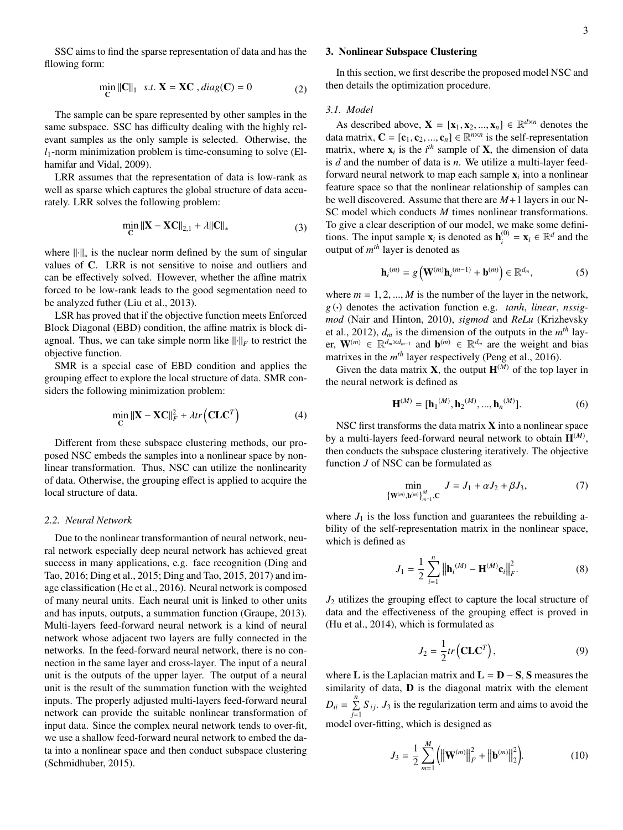SSC aims to find the sparse representation of data and has the fllowing form:

$$
\min_{\mathbf{C}} \|\mathbf{C}\|_1 \quad s.t. \ \mathbf{X} = \mathbf{X}\mathbf{C} \ , diag(\mathbf{C}) = 0 \tag{2}
$$

The sample can be spare represented by other samples in the same subspace. SSC has difficulty dealing with the highly relevant samples as the only sample is selected. Otherwise, the  $l_1$ -norm minimization problem is time-consuming to solve (Elhamifar and Vidal, 2009).

LRR assumes that the representation of data is low-rank as well as sparse which captures the global structure of data accurately. LRR solves the following problem:

$$
\min_{\mathbf{C}} \|\mathbf{X} - \mathbf{X}\mathbf{C}\|_{2,1} + \lambda \|\mathbf{C}\|_{*}
$$
\n(3)

where  $\left\| \cdot \right\|_{*}$  is the nuclear norm defined by the sum of singular values of C. LRR is not sensitive to noise and outliers and can be effectively solved. However, whether the affine matrix forced to be low-rank leads to the good segmentation need to be analyzed futher (Liu et al., 2013).

LSR has proved that if the objective function meets Enforced Block Diagonal (EBD) condition, the affine matrix is block diagnoal. Thus, we can take simple norm like  $\|\cdot\|_F$  to restrict the objective function.

SMR is a special case of EBD condition and applies the grouping effect to explore the local structure of data. SMR considers the following minimization problem:

$$
\min_{\mathbf{C}} \|\mathbf{X} - \mathbf{X}\mathbf{C}\|_F^2 + \lambda tr\left(\mathbf{C}\mathbf{L}\mathbf{C}^T\right) \tag{4}
$$

Different from these subspace clustering methods, our proposed NSC embeds the samples into a nonlinear space by nonlinear transformation. Thus, NSC can utilize the nonlinearity of data. Otherwise, the grouping effect is applied to acquire the local structure of data.

### *2.2. Neural Network*

Due to the nonlinear transformantion of neural network, neural network especially deep neural network has achieved great success in many applications, e.g. face recognition (Ding and Tao, 2016; Ding et al., 2015; Ding and Tao, 2015, 2017) and image classification (He et al., 2016). Neural network is composed of many neural units. Each neural unit is linked to other units and has inputs, outputs, a summation function (Graupe, 2013). Multi-layers feed-forward neural network is a kind of neural network whose adjacent two layers are fully connected in the networks. In the feed-forward neural network, there is no connection in the same layer and cross-layer. The input of a neural unit is the outputs of the upper layer. The output of a neural unit is the result of the summation function with the weighted inputs. The properly adjusted multi-layers feed-forward neural network can provide the suitable nonlinear transformation of input data. Since the complex neural network tends to over-fit, we use a shallow feed-forward neural network to embed the data into a nonlinear space and then conduct subspace clustering (Schmidhuber, 2015).

### 3. Nonlinear Subspace Clustering

In this section, we first describe the proposed model NSC and then details the optimization procedure.

#### *3.1. Model*

As described above,  $\mathbf{X} = [\mathbf{x}_1, \mathbf{x}_2, ..., \mathbf{x}_n] \in \mathbb{R}^{d \times n}$  denotes the natrix  $\mathbf{C} = [\mathbf{c}_1, \mathbf{c}_2, ..., \mathbf{c}_n] \in \mathbb{R}^{n \times n}$  is the self-representation data matrix,  $\mathbf{C} = [\mathbf{c}_1, \mathbf{c}_2, ..., \mathbf{c}_n] \in \mathbb{R}^{n \times n}$  is the self-representation<br>matrix, where **x**, is the *i*<sup>th</sup> sample of **X**, the dimension of data matrix, where  $\mathbf{x}_i$  is the  $i^{th}$  sample of **X**, the dimension of data is *d* and the number of data is *n*. We utilize a multi-layer feedforward neural network to map each sample  $\mathbf{x}_i$  into a nonlinear feature space so that the nonlinear relationship of samples can be well discovered. Assume that there are *M*+1 layers in our N-SC model which conducts *M* times nonlinear transformations. To give a clear description of our model, we make some definitions. The input sample  $\mathbf{x}_i$  is denoted as  $\mathbf{h}_i^{(0)} = \mathbf{x}_i \in \mathbb{R}^d$  and the output of  $m<sup>th</sup>$  layer is denoted as

$$
\mathbf{h}_{i}^{(m)} = g\left(\mathbf{W}^{(m)}\mathbf{h}_{i}^{(m-1)} + \mathbf{b}^{(m)}\right) \in \mathbb{R}^{d_{m}},
$$
\n(5)

where  $m = 1, 2, ..., M$  is the number of the layer in the network, *g* (·) denotes the activation function e.g. *tanh*, *linear*, *nssigmod* (Nair and Hinton, 2010), *sigmod* and *ReLu* (Krizhevsky et al., 2012),  $d_m$  is the dimension of the outputs in the  $m<sup>th</sup>$  layer,  $\mathbf{W}^{(m)} \in \mathbb{R}^{d_m \times d_{m-1}}$  and  $\mathbf{b}^{(m)} \in \mathbb{R}^{d_m}$  are the weight and bias matrixes in the  $m<sup>th</sup>$  layer respectively (Peng et al., 2016).

Given the data matrix **X**, the output  $H^{(\bar{M})}$  of the top layer in the neural network is defined as

$$
\mathbf{H}^{(M)} = [\mathbf{h}_1^{(M)}, \mathbf{h}_2^{(M)}, ..., \mathbf{h}_n^{(M)}].
$$
 (6)

NSC first transforms the data matrix  $X$  into a nonlinear space by a multi-layers feed-forward neural network to obtain  $\mathbf{H}^{(M)}$ , then conducts the subspace clustering iteratively. The objective function *J* of NSC can be formulated as

$$
\min_{\{\mathbf{W}^{(m)}, \mathbf{b}^{(m)}\}_{m=1}^{M}} J = J_1 + \alpha J_2 + \beta J_3,
$$
 (7)

where  $J_1$  is the loss function and guarantees the rebuilding ability of the self-representation matrix in the nonlinear space, which is defined as

$$
J_1 = \frac{1}{2} \sum_{i=1}^{n} ||\mathbf{h}_i^{(M)} - \mathbf{H}^{(M)} \mathbf{c}_i||_F^2.
$$
 (8)

*J*<sup>2</sup> utilizes the grouping effect to capture the local structure of data and the effectiveness of the grouping effect is proved in (Hu et al., 2014), which is formulated as

$$
J_2 = \frac{1}{2} tr (\mathbf{CLC}^T), \tag{9}
$$

where L is the Laplacian matrix and  $L = D - S$ , S measures the similarity of data, **D** is the diagonal matrix with the element  $D_{ii} = \sum_{j=1}^{n} S_{ij}$ . *J*<sub>3</sub> is the regularization term and aims to avoid the model over-fitting, which is designed as

$$
J_3 = \frac{1}{2} \sum_{m=1}^{M} (||\mathbf{W}^{(m)}||_F^2 + ||\mathbf{b}^{(m)}||_2^2).
$$
 (10)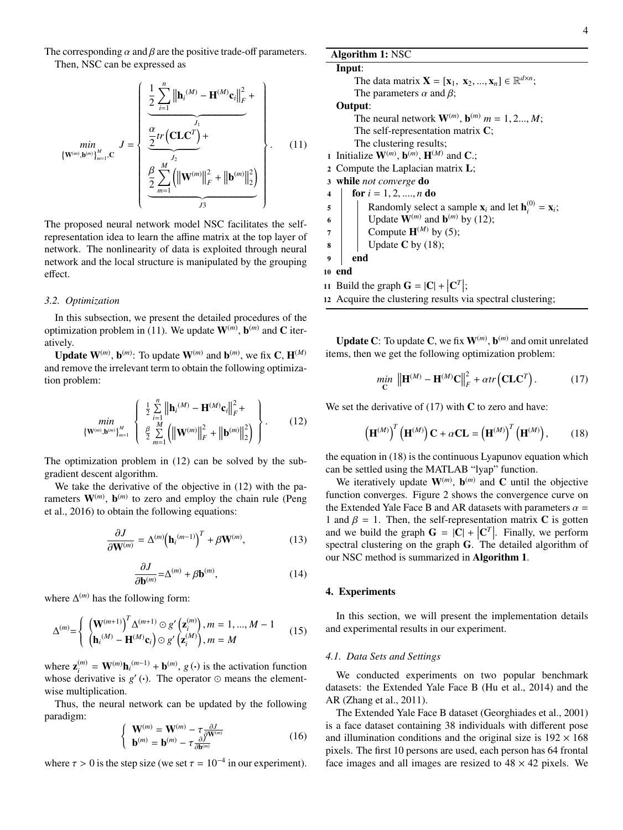The corresponding  $\alpha$  and  $\beta$  are the positive trade-off parameters. Then, NSC can be expressed as

$$
\min_{\{\mathbf{W}^{(m)}, \mathbf{b}^{(m)}\}_{m=1}^{M}} \mathbf{U} = \begin{cases} \frac{1}{2} \sum_{i=1}^{n} \left\| \mathbf{h}_{i}^{(M)} - \mathbf{H}^{(M)} \mathbf{c}_{i} \right\|_{F}^{2} + \\ \frac{2}{2} \text{tr} \left( \mathbf{C} \mathbf{L} \mathbf{C}^{T} \right) + \\ \frac{2}{2} \sum_{m=1}^{J_{2}} \left( \left\| \mathbf{W}^{(m)} \right\|_{F}^{2} + \left\| \mathbf{b}^{(m)} \right\|_{2}^{2} \right) \\ \frac{2}{J_{3}} \end{cases} . \tag{11}
$$

The proposed neural network model NSC facilitates the selfrepresentation idea to learn the affine matrix at the top layer of network. The nonlinearity of data is exploited through neural network and the local structure is manipulated by the grouping effect.

#### *3.2. Optimization*

In this subsection, we present the detailed procedures of the optimization problem in (11). We update  $\mathbf{W}^{(m)}$ ,  $\mathbf{b}^{(m)}$  and C iteratively.

**Update W**<sup>(*m*)</sup>, **b**<sup>(*m*)</sup>: To update **W**<sup>(*m*)</sup> and **b**<sup>(*m*)</sup>, we fix **C**, **H**<sup>(*M*)</sup>) and remove the irrelevant term to obtain the following optimization problem:

$$
\min_{\{\mathbf{W}^{(m)}, \mathbf{b}^{(m)}\}_{m=1}^{M}} \left\{ \begin{array}{l} \frac{1}{2} \sum_{i=1}^{n} \|\mathbf{h}_{i}^{(M)} - \mathbf{H}^{(M)} \mathbf{c}_{i}\|_{F}^{2} + \\ \frac{1}{2} \sum_{m=1}^{M} \left( \|\mathbf{W}^{(m)}\|_{F}^{2} + \|\mathbf{b}^{(m)}\|_{2}^{2} \right) \end{array} \right\}.
$$
 (12)

The optimization problem in (12) can be solved by the subgradient descent algorithm.

We take the derivative of the objective in  $(12)$  with the parameters  $W^{(m)}$ ,  $\mathbf{b}^{(m)}$  to zero and employ the chain rule (Peng et al., 2016) to obtain the following equations:

$$
\frac{\partial J}{\partial \mathbf{W}^{(m)}} = \Delta^{(m)} \Big( \mathbf{h}_i^{(m-1)} \Big)^T + \beta \mathbf{W}^{(m)},\tag{13}
$$

$$
\frac{\partial J}{\partial \mathbf{b}^{(m)}} = \Delta^{(m)} + \beta \mathbf{b}^{(m)},\tag{14}
$$

where ∆ (*m*) has the following form:

$$
\Delta^{(m)} = \begin{cases} \left( \mathbf{W}^{(m+1)} \right)^T \Delta^{(m+1)} \odot g' \left( \mathbf{z}_i^{(m)} \right), m = 1, ..., M - 1 \\ \left( \mathbf{h}_i^{(M)} - \mathbf{H}^{(M)} \mathbf{c}_i \right) \odot g' \left( \mathbf{z}_i^{(M)} \right), m = M \end{cases}
$$
(15)

where  $\mathbf{z}_i^{(m)} = \mathbf{W}^{(m)} \mathbf{h}_i^{(m-1)} + \mathbf{b}^{(m)}$ ,  $g(\cdot)$  is the activation function whose derivative is  $g'$  ( $\cdot$ ). The operator  $\odot$  means the elementwise multiplication.

Thus, the neural network can be updated by the following paradigm:

$$
\begin{cases} \mathbf{W}^{(m)} = \mathbf{W}^{(m)} - \tau \frac{\partial J}{\partial \mathbf{W}^{(m)}} \\ \mathbf{b}^{(m)} = \mathbf{b}^{(m)} - \tau \frac{\partial J}{\partial \mathbf{b}^{(m)}} \end{cases}
$$
(16)

where  $\tau > 0$  is the step size (we set  $\tau = 10^{-4}$  in our experiment).

### Algorithm 1: NSC

# Input:

The data matrix  $\mathbf{X} = [\mathbf{x}_1, \mathbf{x}_2, ..., \mathbf{x}_n] \in \mathbb{R}^{d \times n}$ ;<br>The parameters  $\alpha$  and  $\beta$ ; The parameters  $\alpha$  and  $\beta$ ; Output: The neural network  $\mathbf{W}^{(m)}$ ,  $\mathbf{b}^{(m)}$   $m = 1, 2..., M$ ;<br>The self-representation matrix  $\mathbf{C}$ . The self-representation matrix C; The clustering results; 1 Initialize  $\mathbf{W}^{(m)}$ ,  $\mathbf{b}^{(m)}$ ,  $\mathbf{H}^{(M)}$  and **C**.; <sup>2</sup> Compute the Laplacian matrix L; <sup>3</sup> while *not converge* do 4 for  $i = 1, 2, ..., n$  do<br>5 Randomly select 5 Randomly select a sample  $\mathbf{x}_i$  and let  $\mathbf{h}_i^{(0)} = \mathbf{x}_i$ ; 6 | Update  $\mathbf{W}^{(m)}$  and  $\mathbf{b}^{(m)}$  by (12);

- 
- $7 \mid$  Compute  $\mathbf{H}^{(M)}$  by (5);
- $\bf{8}$  Update **C** by (18);

9 end

- 10 end
- 11 Build the graph  $\mathbf{G} = |\mathbf{C}| + |\mathbf{C}^T|$ ;
- <sup>12</sup> Acquire the clustering results via spectral clustering;

**Update C**: To update **C**, we fix  $W^{(m)}$ ,  $b^{(m)}$  and omit unrelated items, then we get the following optimization problem:

$$
\min_{\mathbf{C}} \left\| \mathbf{H}^{(M)} - \mathbf{H}^{(M)} \mathbf{C} \right\|_F^2 + \alpha tr \left( \mathbf{CLC}^T \right). \tag{17}
$$

We set the derivative of  $(17)$  with C to zero and have:

$$
\left(\mathbf{H}^{(M)}\right)^{T}\left(\mathbf{H}^{(M)}\right)\mathbf{C} + \alpha \mathbf{CL} = \left(\mathbf{H}^{(M)}\right)^{T}\left(\mathbf{H}^{(M)}\right),\tag{18}
$$

the equation in (18) is the continuous Lyapunov equation which can be settled using the MATLAB "lyap" function.

We iteratively update  $W^{(m)}$ ,  $b^{(m)}$  and C until the objective function converges. Figure 2 shows the convergence curve on the Extended Yale Face B and AR datasets with parameters  $\alpha$  = 1 and  $\beta = 1$ . Then, the self-representation matrix C is gotten and we build the graph  $G = |C| + |C^T|$ . Finally, we perform spectral clustering on the graph G. The detailed algorithm of our NSC method is summarized in Algorithm 1.

#### 4. Experiments

In this section, we will present the implementation details and experimental results in our experiment.

#### *4.1. Data Sets and Settings*

We conducted experiments on two popular benchmark datasets: the Extended Yale Face B (Hu et al., 2014) and the AR (Zhang et al., 2011).

The Extended Yale Face B dataset (Georghiades et al., 2001) is a face dataset containing 38 individuals with different pose and illumination conditions and the original size is  $192 \times 168$ pixels. The first 10 persons are used, each person has 64 frontal face images and all images are resized to  $48 \times 42$  pixels. We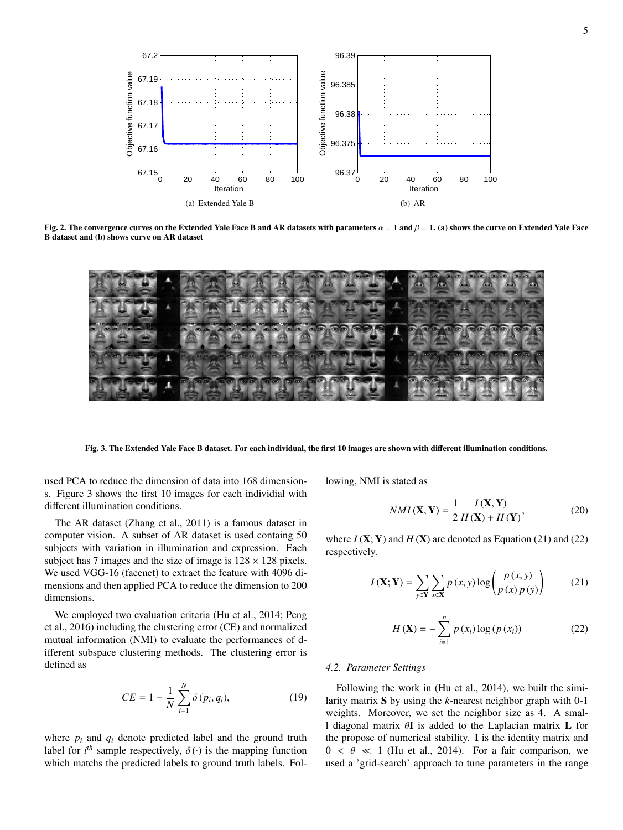

Fig. 2. The convergence curves on the Extended Yale Face B and AR datasets with parameters  $\alpha = 1$  and  $\beta = 1$ . (a) shows the curve on Extended Yale Face B dataset and (b) shows curve on AR dataset



Fig. 3. The Extended Yale Face B dataset. For each individual, the first 10 images are shown with different illumination conditions.

used PCA to reduce the dimension of data into 168 dimensions. Figure 3 shows the first 10 images for each individial with different illumination conditions.

The AR dataset (Zhang et al., 2011) is a famous dataset in computer vision. A subset of AR dataset is used containg 50 subjects with variation in illumination and expression. Each subject has 7 images and the size of image is  $128 \times 128$  pixels. We used VGG-16 (facenet) to extract the feature with 4096 dimensions and then applied PCA to reduce the dimension to 200 dimensions.

We employed two evaluation criteria (Hu et al., 2014; Peng et al., 2016) including the clustering error (CE) and normalized mutual information (NMI) to evaluate the performances of different subspace clustering methods. The clustering error is defined as

$$
CE = 1 - \frac{1}{N} \sum_{i=1}^{N} \delta(p_i, q_i),
$$
 (19)

where  $p_i$  and  $q_i$  denote predicted label and the ground truth label for *i*<sup>th</sup> sample respectively,  $\delta(\cdot)$  is the mapping function which matchs the predicted labels to ground truth labels. Folwhich matchs the predicted labels to ground truth labels. Following, NMI is stated as

$$
NMI(\mathbf{X}, \mathbf{Y}) = \frac{1}{2} \frac{I(\mathbf{X}, \mathbf{Y})}{H(\mathbf{X}) + H(\mathbf{Y})},
$$
(20)

where  $I(X; Y)$  and  $H(X)$  are denoted as Equation (21) and (22) respectively.

$$
I(\mathbf{X}; \mathbf{Y}) = \sum_{y \in \mathbf{Y}} \sum_{x \in \mathbf{X}} p(x, y) \log \left( \frac{p(x, y)}{p(x) p(y)} \right) \tag{21}
$$

$$
H(\mathbf{X}) = -\sum_{i=1}^{n} p(x_i) \log (p(x_i))
$$
 (22)

### *4.2. Parameter Settings*

Following the work in (Hu et al., 2014), we built the similarity matrix S by using the *k*-nearest neighbor graph with 0-1 weights. Moreover, we set the neighbor size as 4. A small diagonal matrix θ<sup>I</sup> is added to the Laplacian matrix <sup>L</sup> for the propose of numerical stability. I is the identity matrix and  $0 < \theta \ll 1$  (Hu et al., 2014). For a fair comparison, we used a 'grid-search' approach to tune parameters in the range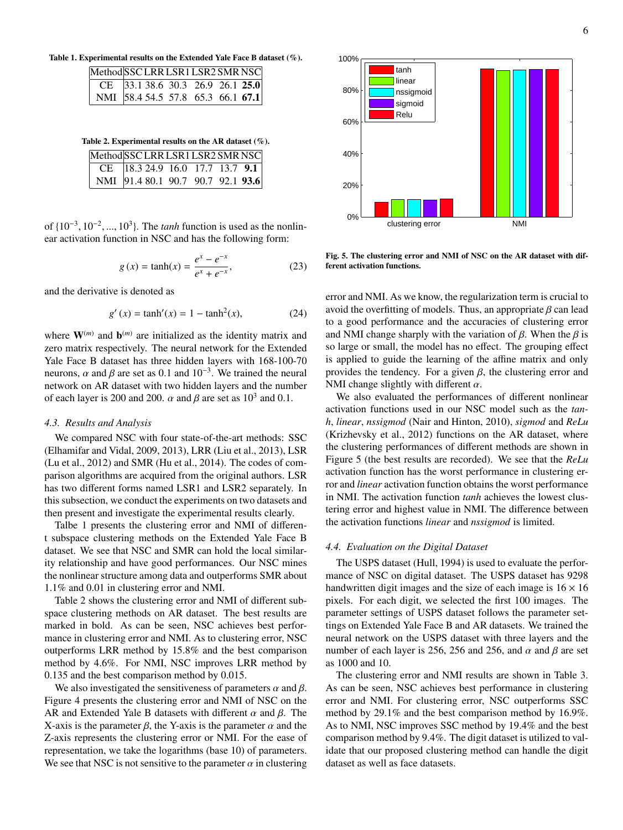Table 1. Experimental results on the Extended Yale Face B dataset (%).

| Method SSC LRR LSR1 LSR2 SMR NSC    |  |  |  |
|-------------------------------------|--|--|--|
| CE  33.1 38.6 30.3 26.9 26.1 25.0   |  |  |  |
| NMI   58.4 54.5 57.8 65.3 66.1 67.1 |  |  |  |

Table 2. Experimental results on the AR dataset (%).

| Method SSC LRR LSR1 LSR2 SMR NSC   |  |  |  |
|------------------------------------|--|--|--|
| CE  18.3 24.9 16.0 17.7 13.7 9.1   |  |  |  |
| NMI  91.4 80.1 90.7 90.7 92.1 93.6 |  |  |  |

of  $\{10^{-3}, 10^{-2}, ..., 10^{3}\}$ . The *tanh* function is used as the nonlinear activation function in NSC and has the following form: ear activation function in NSC and has the following form:

$$
g(x) = \tanh(x) = \frac{e^x - e^{-x}}{e^x + e^{-x}},
$$
 (23)

and the derivative is denoted as

$$
g'(x) = \tanh'(x) = 1 - \tanh^2(x),
$$
 (24)

where  $W^{(m)}$  and  $b^{(m)}$  are initialized as the identity matrix and zero matrix respectively. The neural network for the Extended Yale Face B dataset has three hidden layers with 168-100-70 neurons,  $\alpha$  and  $\beta$  are set as 0.1 and 10<sup>-3</sup>. We trained the neural<br>network on AR dataset with two hidden layers and the number network on AR dataset with two hidden layers and the number of each layer is 200 and 200.  $\alpha$  and  $\beta$  are set as 10<sup>3</sup> and 0.1.

#### *4.3. Results and Analysis*

We compared NSC with four state-of-the-art methods: SSC (Elhamifar and Vidal, 2009, 2013), LRR (Liu et al., 2013), LSR (Lu et al., 2012) and SMR (Hu et al., 2014). The codes of comparison algorithms are acquired from the original authors. LSR has two different forms named LSR1 and LSR2 separately. In this subsection, we conduct the experiments on two datasets and then present and investigate the experimental results clearly.

Talbe 1 presents the clustering error and NMI of different subspace clustering methods on the Extended Yale Face B dataset. We see that NSC and SMR can hold the local similarity relationship and have good performances. Our NSC mines the nonlinear structure among data and outperforms SMR about 1.1% and 0.01 in clustering error and NMI.

Table 2 shows the clustering error and NMI of different subspace clustering methods on AR dataset. The best results are marked in bold. As can be seen, NSC achieves best performance in clustering error and NMI. As to clustering error, NSC outperforms LRR method by 15.8% and the best comparison method by 4.6%. For NMI, NSC improves LRR method by 0.135 and the best comparison method by 0.015.

We also investigated the sensitiveness of parameters  $\alpha$  and  $\beta$ . Figure 4 presents the clustering error and NMI of NSC on the AR and Extended Yale B datasets with different  $\alpha$  and  $\beta$ . The X-axis is the parameter  $\beta$ , the Y-axis is the parameter  $\alpha$  and the Z-axis represents the clustering error or NMI. For the ease of representation, we take the logarithms (base 10) of parameters. We see that NSC is not sensitive to the parameter  $\alpha$  in clustering



Fig. 5. The clustering error and NMI of NSC on the AR dataset with different activation functions.

error and NMI. As we know, the regularization term is crucial to avoid the overfitting of models. Thus, an appropriate  $\beta$  can lead to a good performance and the accuracies of clustering error and NMI change sharply with the variation of  $\beta$ . When the  $\beta$  is so large or small, the model has no effect. The grouping effect is applied to guide the learning of the affine matrix and only provides the tendency. For a given  $\beta$ , the clustering error and NMI change slightly with different  $\alpha$ .

We also evaluated the performances of different nonlinear activation functions used in our NSC model such as the *tanh*, *linear*, *nssigmod* (Nair and Hinton, 2010), *sigmod* and *ReLu* (Krizhevsky et al., 2012) functions on the AR dataset, where the clustering performances of different methods are shown in Figure 5 (the best results are recorded). We see that the *ReLu* activation function has the worst performance in clustering error and *linear* activation function obtains the worst performance in NMI. The activation function *tanh* achieves the lowest clustering error and highest value in NMI. The difference between the activation functions *linear* and *nssigmod* is limited.

### *4.4. Evaluation on the Digital Dataset*

The USPS dataset (Hull, 1994) is used to evaluate the performance of NSC on digital dataset. The USPS dataset has 9298 handwritten digit images and the size of each image is  $16 \times 16$ pixels. For each digit, we selected the first 100 images. The parameter settings of USPS dataset follows the parameter settings on Extended Yale Face B and AR datasets. We trained the neural network on the USPS dataset with three layers and the number of each layer is 256, 256 and 256, and  $\alpha$  and  $\beta$  are set as 1000 and 10.

The clustering error and NMI results are shown in Table 3. As can be seen, NSC achieves best performance in clustering error and NMI. For clustering error, NSC outperforms SSC method by 29.1% and the best comparison method by 16.9%. As to NMI, NSC improves SSC method by 19.4% and the best comparison method by 9.4%. The digit dataset is utilized to validate that our proposed clustering method can handle the digit dataset as well as face datasets.